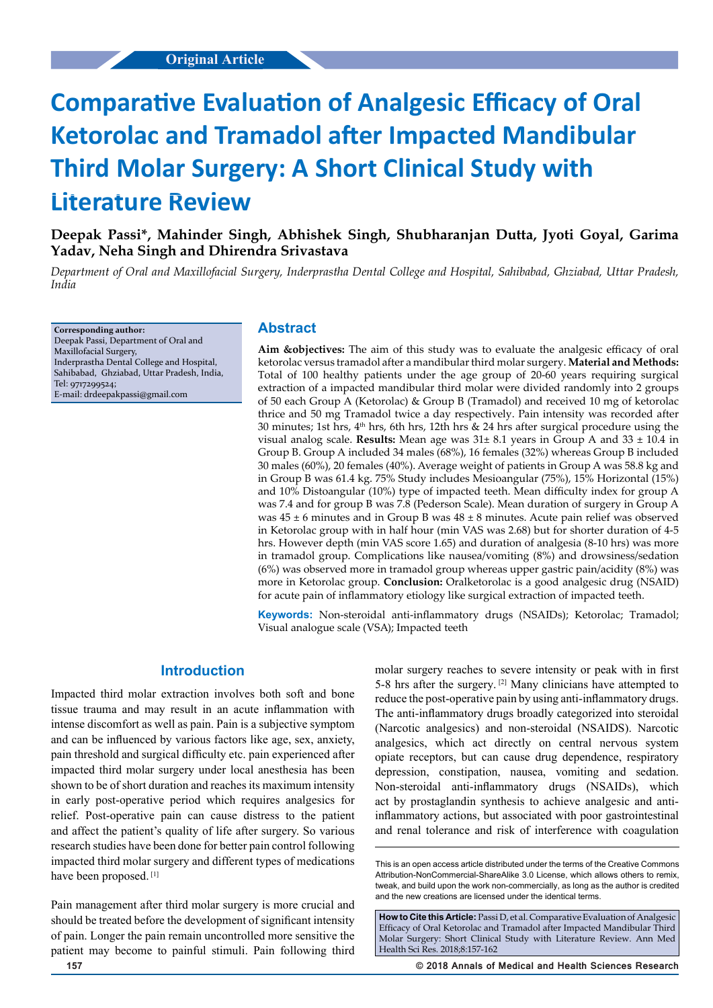# **Comparative Evaluation of Analgesic Efficacy of Oral Ketorolac and Tramadol after Impacted Mandibular Third Molar Surgery: A Short Clinical Study with Literature Review**

**Deepak Passi\*, Mahinder Singh, Abhishek Singh, Shubharanjan Dutta, Jyoti Goyal, Garima Yadav, Neha Singh and Dhirendra Srivastava**

*Department of Oral and Maxillofacial Surgery, Inderprastha Dental College and Hospital, Sahibabad, Ghziabad, Uttar Pradesh, India*

**Corresponding author:** Deepak Passi, Department of Oral and Maxillofacial Surgery, Inderprastha Dental College and Hospital, Sahibabad, Ghziabad, Uttar Pradesh, India, Tel: 9717299524; E-mail: drdeepakpassi@gmail.com

## **Abstract**

**Aim &objectives:** The aim of this study was to evaluate the analgesic efficacy of oral ketorolac versus tramadol after a mandibular third molar surgery. **Material and Methods:** Total of 100 healthy patients under the age group of 20-60 years requiring surgical extraction of a impacted mandibular third molar were divided randomly into 2 groups of 50 each Group A (Ketorolac) & Group B (Tramadol) and received 10 mg of ketorolac thrice and 50 mg Tramadol twice a day respectively. Pain intensity was recorded after 30 minutes; 1st hrs,  $4<sup>th</sup>$  hrs, 6th hrs, 12th hrs & 24 hrs after surgical procedure using the visual analog scale. **Results:** Mean age was  $31 \pm 8.1$  years in Group A and  $33 \pm 10.4$  in Group B. Group A included 34 males (68%), 16 females (32%) whereas Group B included 30 males (60%), 20 females (40%). Average weight of patients in Group A was 58.8 kg and in Group B was 61.4 kg. 75% Study includes Mesioangular (75%), 15% Horizontal (15%) and 10% Distoangular (10%) type of impacted teeth. Mean difficulty index for group A was 7.4 and for group B was 7.8 (Pederson Scale). Mean duration of surgery in Group A was  $45 \pm 6$  minutes and in Group B was  $48 \pm 8$  minutes. Acute pain relief was observed in Ketorolac group with in half hour (min VAS was 2.68) but for shorter duration of 4-5 hrs. However depth (min VAS score 1.65) and duration of analgesia (8-10 hrs) was more in tramadol group. Complications like nausea/vomiting (8%) and drowsiness/sedation (6%) was observed more in tramadol group whereas upper gastric pain/acidity (8%) was more in Ketorolac group. **Conclusion:** Oralketorolac is a good analgesic drug (NSAID) for acute pain of inflammatory etiology like surgical extraction of impacted teeth.

**Keywords:** Non-steroidal anti-inflammatory drugs (NSAIDs); Ketorolac; Tramadol; Visual analogue scale (VSA); Impacted teeth

## **Introduction**

Impacted third molar extraction involves both soft and bone tissue trauma and may result in an acute inflammation with intense discomfort as well as pain. Pain is a subjective symptom and can be influenced by various factors like age, sex, anxiety, pain threshold and surgical difficulty etc. pain experienced after impacted third molar surgery under local anesthesia has been shown to be of short duration and reaches its maximum intensity in early post-operative period which requires analgesics for relief. Post-operative pain can cause distress to the patient and affect the patient's quality of life after surgery. So various research studies have been done for better pain control following impacted third molar surgery and different types of medications have been proposed.<sup>[1]</sup>

Pain management after third molar surgery is more crucial and should be treated before the development of significant intensity of pain. Longer the pain remain uncontrolled more sensitive the patient may become to painful stimuli. Pain following third

molar surgery reaches to severe intensity or peak with in first 5-8 hrs after the surgery.  $[2]$  Many clinicians have attempted to reduce the post-operative pain by using anti-inflammatory drugs. The anti-inflammatory drugs broadly categorized into steroidal (Narcotic analgesics) and non-steroidal (NSAIDS). Narcotic analgesics, which act directly on central nervous system opiate receptors, but can cause drug dependence, respiratory depression, constipation, nausea, vomiting and sedation. Non-steroidal anti-inflammatory drugs (NSAIDs), which act by prostaglandin synthesis to achieve analgesic and antiinflammatory actions, but associated with poor gastrointestinal and renal tolerance and risk of interference with coagulation

How to Cite this Article: Passi D, et al. Comparative Evaluation of Analgesic Efficacy of Oral Ketorolac and Tramadol after Impacted Mandibular Third Molar Surgery: Short Clinical Study with Literature Review. Ann Med Health Sci Res. 2018;8:157-162

**157 © 2018 Annals of Medical and Health Sciences Research** 

This is an open access article distributed under the terms of the Creative Commons Attribution‑NonCommercial‑ShareAlike 3.0 License, which allows others to remix tweak, and build upon the work non‑commercially, as long as the author is credited and the new creations are licensed under the identical terms.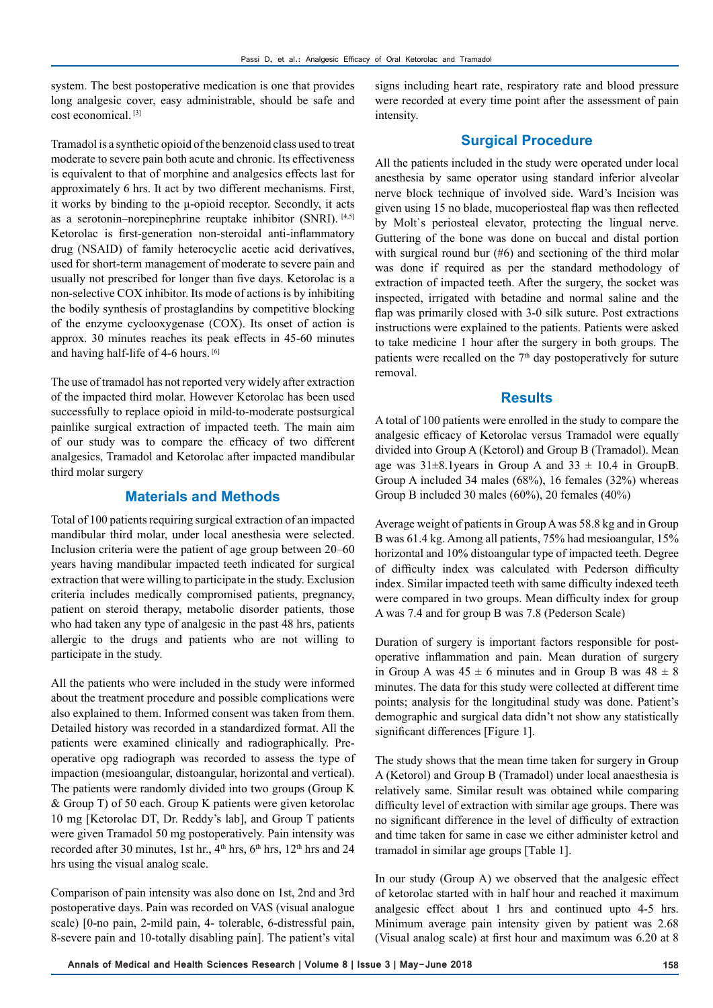system. The best postoperative medication is one that provides long analgesic cover, easy administrable, should be safe and cost economical. [3]

Tramadol is a synthetic opioid of the benzenoid class used to treat moderate to severe pain both acute and chronic. Its effectiveness is equivalent to that of morphine and analgesics effects last for approximately 6 hrs. It act by two different mechanisms. First, it works by binding to the μ-opioid receptor. Secondly, it acts as a serotonin–norepinephrine reuptake inhibitor (SNRI). [4,5] Ketorolac is first-generation non-steroidal anti-inflammatory drug (NSAID) of family heterocyclic acetic acid derivatives, used for short-term management of moderate to severe pain and usually not prescribed for longer than five days. Ketorolac is a non-selective COX inhibitor. Its mode of actions is by inhibiting the bodily synthesis of prostaglandins by competitive blocking of the enzyme cyclooxygenase (COX). Its onset of action is approx. 30 minutes reaches its peak effects in 45-60 minutes and having half-life of 4-6 hours. [6]

The use of tramadol has not reported very widely after extraction of the impacted third molar. However Ketorolac has been used successfully to replace opioid in mild-to-moderate postsurgical painlike surgical extraction of impacted teeth. The main aim of our study was to compare the efficacy of two different analgesics, Tramadol and Ketorolac after impacted mandibular third molar surgery

## **Materials and Methods**

Total of 100 patients requiring surgical extraction of an impacted mandibular third molar, under local anesthesia were selected. Inclusion criteria were the patient of age group between 20–60 years having mandibular impacted teeth indicated for surgical extraction that were willing to participate in the study. Exclusion criteria includes medically compromised patients, pregnancy, patient on steroid therapy, metabolic disorder patients, those who had taken any type of analgesic in the past 48 hrs, patients allergic to the drugs and patients who are not willing to participate in the study.

All the patients who were included in the study were informed about the treatment procedure and possible complications were also explained to them. Informed consent was taken from them. Detailed history was recorded in a standardized format. All the patients were examined clinically and radiographically. Preoperative opg radiograph was recorded to assess the type of impaction (mesioangular, distoangular, horizontal and vertical). The patients were randomly divided into two groups (Group K & Group T) of 50 each. Group K patients were given ketorolac 10 mg [Ketorolac DT, Dr. Reddy's lab], and Group T patients were given Tramadol 50 mg postoperatively. Pain intensity was recorded after 30 minutes, 1st hr., 4<sup>th</sup> hrs, 6<sup>th</sup> hrs, 12<sup>th</sup> hrs and 24 hrs using the visual analog scale.

Comparison of pain intensity was also done on 1st, 2nd and 3rd postoperative days. Pain was recorded on VAS (visual analogue scale) [0-no pain, 2-mild pain, 4- tolerable, 6-distressful pain, 8-severe pain and 10-totally disabling pain]. The patient's vital signs including heart rate, respiratory rate and blood pressure were recorded at every time point after the assessment of pain intensity.

## **Surgical Procedure**

All the patients included in the study were operated under local anesthesia by same operator using standard inferior alveolar nerve block technique of involved side. Ward's Incision was given using 15 no blade, mucoperiosteal flap was then reflected by Molt`s periosteal elevator, protecting the lingual nerve. Guttering of the bone was done on buccal and distal portion with surgical round bur (#6) and sectioning of the third molar was done if required as per the standard methodology of extraction of impacted teeth. After the surgery, the socket was inspected, irrigated with betadine and normal saline and the flap was primarily closed with 3-0 silk suture. Post extractions instructions were explained to the patients. Patients were asked to take medicine 1 hour after the surgery in both groups. The patients were recalled on the  $7<sup>th</sup>$  day postoperatively for suture removal.

## **Results**

A total of 100 patients were enrolled in the study to compare the analgesic efficacy of Ketorolac versus Tramadol were equally divided into Group A (Ketorol) and Group B (Tramadol). Mean age was  $31\pm8.1$ years in Group A and  $33 \pm 10.4$  in GroupB. Group A included 34 males (68%), 16 females (32%) whereas Group B included 30 males (60%), 20 females (40%)

Average weight of patients in Group A was 58.8 kg and in Group B was 61.4 kg. Among all patients, 75% had mesioangular, 15% horizontal and 10% distoangular type of impacted teeth. Degree of difficulty index was calculated with Pederson difficulty index. Similar impacted teeth with same difficulty indexed teeth were compared in two groups. Mean difficulty index for group A was 7.4 and for group B was 7.8 (Pederson Scale)

Duration of surgery is important factors responsible for postoperative inflammation and pain. Mean duration of surgery in Group A was  $45 \pm 6$  minutes and in Group B was  $48 \pm 8$ minutes. The data for this study were collected at different time points; analysis for the longitudinal study was done. Patient's demographic and surgical data didn't not show any statistically significant differences [Figure 1].

The study shows that the mean time taken for surgery in Group A (Ketorol) and Group B (Tramadol) under local anaesthesia is relatively same. Similar result was obtained while comparing difficulty level of extraction with similar age groups. There was no significant difference in the level of difficulty of extraction and time taken for same in case we either administer ketrol and tramadol in similar age groups [Table 1].

In our study (Group A) we observed that the analgesic effect of ketorolac started with in half hour and reached it maximum analgesic effect about 1 hrs and continued upto 4-5 hrs. Minimum average pain intensity given by patient was 2.68 (Visual analog scale) at first hour and maximum was 6.20 at 8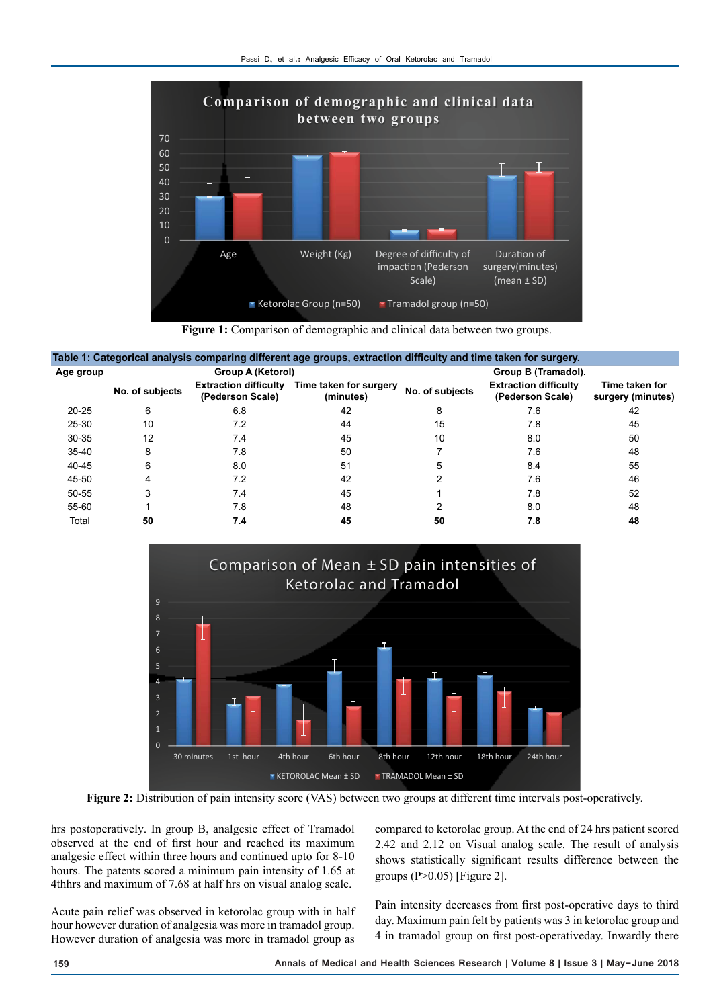

**Figure 1:** Comparison of demographic and clinical data between two groups.

| Table 1: Categorical analysis comparing different age groups, extraction difficulty and time taken for surgery. |                 |                                                  |                                     |                 |                                                  |                                     |  |  |
|-----------------------------------------------------------------------------------------------------------------|-----------------|--------------------------------------------------|-------------------------------------|-----------------|--------------------------------------------------|-------------------------------------|--|--|
| Age group                                                                                                       |                 | Group A (Ketorol)                                |                                     |                 | Group B (Tramadol).                              |                                     |  |  |
|                                                                                                                 | No. of subjects | <b>Extraction difficulty</b><br>(Pederson Scale) | Time taken for surgery<br>(minutes) | No. of subjects | <b>Extraction difficulty</b><br>(Pederson Scale) | Time taken for<br>surgery (minutes) |  |  |
| $20 - 25$                                                                                                       | 6               | 6.8                                              | 42                                  | 8               | 7.6                                              | 42                                  |  |  |
| $25 - 30$                                                                                                       | 10              | 7.2                                              | 44                                  | 15              | 7.8                                              | 45                                  |  |  |
| $30 - 35$                                                                                                       | 12              | 7.4                                              | 45                                  | 10              | 8.0                                              | 50                                  |  |  |
| $35 - 40$                                                                                                       | 8               | 7.8                                              | 50                                  |                 | 7.6                                              | 48                                  |  |  |
| $40 - 45$                                                                                                       | 6               | 8.0                                              | 51                                  | 5               | 8.4                                              | 55                                  |  |  |
| 45-50                                                                                                           |                 | 7.2                                              | 42                                  |                 | 7.6                                              | 46                                  |  |  |
| $50 - 55$                                                                                                       |                 | 7.4                                              | 45                                  |                 | 7.8                                              | 52                                  |  |  |
| 55-60                                                                                                           |                 | 7.8                                              | 48                                  |                 | 8.0                                              | 48                                  |  |  |
| Total                                                                                                           | 50              | 7.4                                              | 45                                  | 50              | 7.8                                              | 48                                  |  |  |



**Figure 2:** Distribution of pain intensity score (VAS) between two groups at different time intervals post-operatively.

hrs postoperatively. In group B, analgesic effect of Tramadol observed at the end of first hour and reached its maximum analgesic effect within three hours and continued upto for 8-10 hours. The patents scored a minimum pain intensity of 1.65 at 4thhrs and maximum of 7.68 at half hrs on visual analog scale.

Acute pain relief was observed in ketorolac group with in half hour however duration of analgesia was more in tramadol group. However duration of analgesia was more in tramadol group as compared to ketorolac group. At the end of 24 hrs patient scored 2.42 and 2.12 on Visual analog scale. The result of analysis shows statistically significant results difference between the groups  $(P>0.05)$  [Figure 2].

Pain intensity decreases from first post-operative days to third day. Maximum pain felt by patients was 3 in ketorolac group and 4 in tramadol group on first post-operativeday. Inwardly there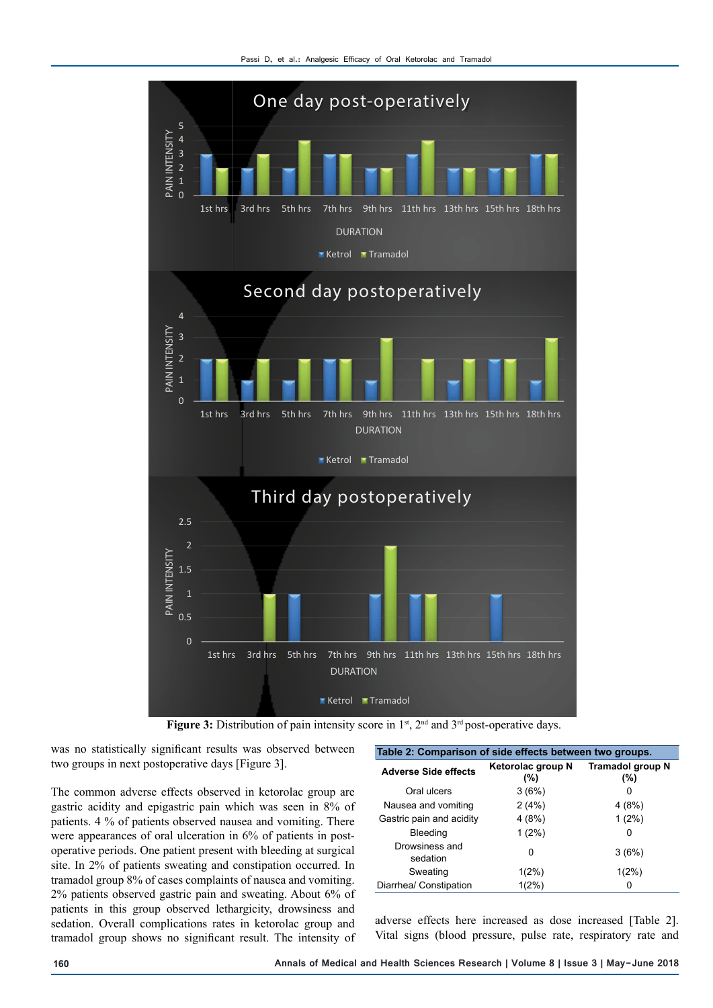

Figure 3: Distribution of pain intensity score in 1<sup>st</sup>, 2<sup>nd</sup> and 3<sup>rd</sup> post-operative days.

was no statistically significant results was observed between two groups in next postoperative days [Figure 3].

The common adverse effects observed in ketorolac group are gastric acidity and epigastric pain which was seen in 8% of patients. 4 % of patients observed nausea and vomiting. There were appearances of oral ulceration in 6% of patients in postoperative periods. One patient present with bleeding at surgical site. In 2% of patients sweating and constipation occurred. In tramadol group 8% of cases complaints of nausea and vomiting. 2% patients observed gastric pain and sweating. About 6% of patients in this group observed lethargicity, drowsiness and sedation. Overall complications rates in ketorolac group and tramadol group shows no significant result. The intensity of

| Table 2: Comparison of side effects between two groups. |                              |                                    |  |  |  |  |
|---------------------------------------------------------|------------------------------|------------------------------------|--|--|--|--|
| <b>Adverse Side effects</b>                             | Ketorolac group N<br>$(\% )$ | <b>Tramadol group N</b><br>$(\% )$ |  |  |  |  |
| Oral ulcers                                             | 3(6%)                        | O                                  |  |  |  |  |
| Nausea and vomiting                                     | 2(4%)                        | 4 (8%)                             |  |  |  |  |
| Gastric pain and acidity                                | 4(8%)                        | $1(2\%)$                           |  |  |  |  |
| Bleeding                                                | $1(2\%)$                     | O                                  |  |  |  |  |
| Drowsiness and<br>sedation                              | 0                            | 3(6%)                              |  |  |  |  |
| Sweating                                                | $1(2\%)$                     | $1(2\%)$                           |  |  |  |  |
| Diarrhea/ Constipation                                  | $1(2\%)$                     | 0                                  |  |  |  |  |

adverse effects here increased as dose increased [Table 2]. Vital signs (blood pressure, pulse rate, respiratory rate and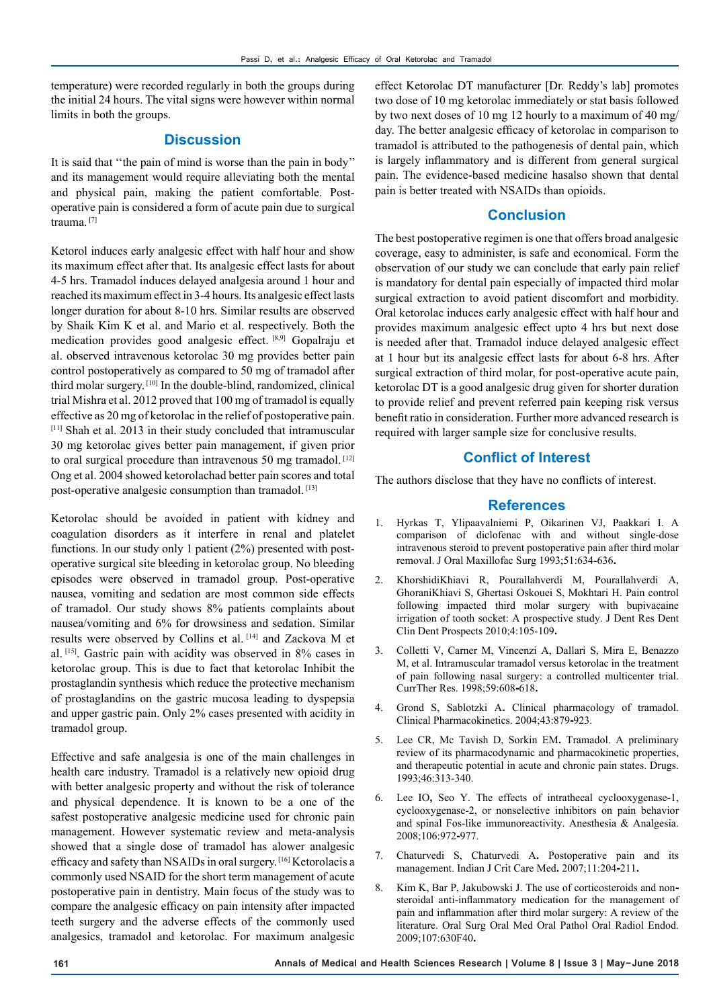temperature) were recorded regularly in both the groups during the initial 24 hours. The vital signs were however within normal limits in both the groups.

#### **Discussion**

It is said that ''the pain of mind is worse than the pain in body'' and its management would require alleviating both the mental and physical pain, making the patient comfortable. Postoperative pain is considered a form of acute pain due to surgical trauma. [7]

Ketorol induces early analgesic effect with half hour and show its maximum effect after that. Its analgesic effect lasts for about 4-5 hrs. Tramadol induces delayed analgesia around 1 hour and reached its maximum effect in 3-4 hours. Its analgesic effect lasts longer duration for about 8-10 hrs. Similar results are observed by Shaik Kim K et al. and Mario et al. respectively. Both the medication provides good analgesic effect. [8,9] Gopalraju et al. observed intravenous ketorolac 30 mg provides better pain control postoperatively as compared to 50 mg of tramadol after third molar surgery. [10] In the double-blind, randomized, clinical trial Mishra et al. 2012 proved that 100 mg of tramadol is equally effective as 20 mg of ketorolac in the relief of postoperative pain. [11] Shah et al. 2013 in their study concluded that intramuscular 30 mg ketorolac gives better pain management, if given prior to oral surgical procedure than intravenous 50 mg tramadol.<sup>[12]</sup> Ong et al. 2004 showed ketorolachad better pain scores and total post-operative analgesic consumption than tramadol. [13]

Ketorolac should be avoided in patient with kidney and coagulation disorders as it interfere in renal and platelet functions. In our study only 1 patient (2%) presented with postoperative surgical site bleeding in ketorolac group. No bleeding episodes were observed in tramadol group. Post-operative nausea, vomiting and sedation are most common side effects of tramadol. Our study shows 8% patients complaints about nausea/vomiting and 6% for drowsiness and sedation. Similar results were observed by Collins et al. [14] and Zackova M et al. [15]. Gastric pain with acidity was observed in 8% cases in ketorolac group. This is due to fact that ketorolac Inhibit the prostaglandin synthesis which reduce the protective mechanism of prostaglandins on the gastric mucosa leading to dyspepsia and upper gastric pain. Only 2% cases presented with acidity in tramadol group.

Effective and safe analgesia is one of the main challenges in health care industry. Tramadol is a relatively new opioid drug with better analgesic property and without the risk of tolerance and physical dependence. It is known to be a one of the safest postoperative analgesic medicine used for chronic pain management. However systematic review and meta-analysis showed that a single dose of tramadol has alower analgesic efficacy and safety than NSAIDs in oral surgery. [16] Ketorolacis a commonly used NSAID for the short term management of acute postoperative pain in dentistry. Main focus of the study was to compare the analgesic efficacy on pain intensity after impacted teeth surgery and the adverse effects of the commonly used analgesics, tramadol and ketorolac. For maximum analgesic

effect Ketorolac DT manufacturer [Dr. Reddy's lab] promotes two dose of 10 mg ketorolac immediately or stat basis followed by two next doses of 10 mg 12 hourly to a maximum of 40 mg/ day. The better analgesic efficacy of ketorolac in comparison to tramadol is attributed to the pathogenesis of dental pain, which is largely inflammatory and is different from general surgical pain. The evidence-based medicine hasalso shown that dental pain is better treated with NSAIDs than opioids.

#### **Conclusion**

The best postoperative regimen is one that offers broad analgesic coverage, easy to administer, is safe and economical. Form the observation of our study we can conclude that early pain relief is mandatory for dental pain especially of impacted third molar surgical extraction to avoid patient discomfort and morbidity. Oral ketorolac induces early analgesic effect with half hour and provides maximum analgesic effect upto 4 hrs but next dose is needed after that. Tramadol induce delayed analgesic effect at 1 hour but its analgesic effect lasts for about 6-8 hrs. After surgical extraction of third molar, for post-operative acute pain, ketorolac DT is a good analgesic drug given for shorter duration to provide relief and prevent referred pain keeping risk versus benefit ratio in consideration. Further more advanced research is required with larger sample size for conclusive results.

#### **Conflict of Interest**

The authors disclose that they have no conflicts of interest.

#### **References**

- 1. Hyrkas T, Ylipaavalniemi P, Oikarinen VJ, Paakkari I. A comparison of diclofenac with and without single-dose intravenous steroid to prevent postoperative pain after third molar removal. J Oral Maxillofac Surg 1993;51:634-636**.**
- 2. KhorshidiKhiavi R, Pourallahverdi M, Pourallahverdi A, GhoraniKhiavi S, Ghertasi Oskouei S, Mokhtari H. Pain control following impacted third molar surgery with bupivacaine irrigation of tooth socket: A prospective study. J Dent Res Dent Clin Dent Prospects 2010;4:105-109**.**
- 3. Colletti V, Carner M, Vincenzi A, Dallari S, Mira E, Benazzo M, et al. Intramuscular tramadol versus ketorolac in the treatment of pain following nasal surgery: a controlled multicenter trial. CurrTher Res. 1998;59:608**-**618**.**
- 4. Grond S, Sablotzki A**.** Clinical pharmacology of tramadol. Clinical Pharmacokinetics. 2004;43:879**-**923.
- 5. Lee CR, Mc Tavish D, Sorkin EM**.** Tramadol. A preliminary review of its pharmacodynamic and pharmacokinetic properties, and therapeutic potential in acute and chronic pain states. Drugs. 1993;46:313-340.
- 6. Lee IO**,** Seo Y. The effects of intrathecal cyclooxygenase-1, cyclooxygenase-2, or nonselective inhibitors on pain behavior and spinal Fos-like immunoreactivity. Anesthesia & Analgesia. 2008;106:972**-**977.
- 7. Chaturvedi S, Chaturvedi A**.** Postoperative pain and its management. Indian J Crit Care Med**.** 2007;11:204**-**211**.**
- 8. Kim K, Bar P, Jakubowski J. The use of corticosteroids and nonsteroidal anti-inflammatory medication for the management of pain and inflammation after third molar surgery: A review of the literature. Oral Surg Oral Med Oral Pathol Oral Radiol Endod. 2009;107:630F40**.**